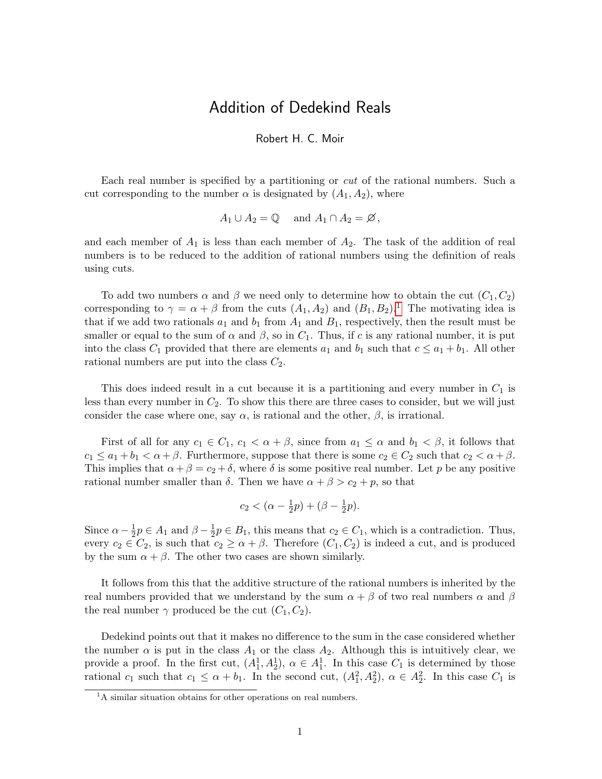## Addition of Dedekind Reals

## Robert H. C. Moir

Each real number is specified by a partitioning or cut of the rational numbers. Such a cut corresponding to the number  $\alpha$  is designated by  $(A_1, A_2)$ , where

$$
A_1 \cup A_2 = \mathbb{Q} \quad \text{and } A_1 \cap A_2 = \emptyset,
$$

and each member of  $A_1$  is less than each member of  $A_2$ . The task of the addition of real numbers is to be reduced to the addition of rational numbers using the definition of reals using cuts.

To add two numbers  $\alpha$  and  $\beta$  we need only to determine how to obtain the cut  $(C_1, C_2)$ corresponding to  $\gamma = \alpha + \beta$  from the cuts  $(A_1, A_2)$  $(A_1, A_2)$  $(A_1, A_2)$  and  $(B_1, B_2)$ .<sup>1</sup> The motivating idea is that if we add two rationals  $a_1$  and  $b_1$  from  $A_1$  and  $B_1$ , respectively, then the result must be smaller or equal to the sum of  $\alpha$  and  $\beta$ , so in  $C_1$ . Thus, if c is any rational number, it is put into the class  $C_1$  provided that there are elements  $a_1$  and  $b_1$  such that  $c \le a_1 + b_1$ . All other rational numbers are put into the class  $C_2$ .

This does indeed result in a cut because it is a partitioning and every number in  $C_1$  is less than every number in  $C_2$ . To show this there are three cases to consider, but we will just consider the case where one, say  $\alpha$ , is rational and the other,  $\beta$ , is irrational.

First of all for any  $c_1 \in C_1$ ,  $c_1 < \alpha + \beta$ , since from  $a_1 \leq \alpha$  and  $b_1 < \beta$ , it follows that  $c_1 \le a_1 + b_1 < \alpha + \beta$ . Furthermore, suppose that there is some  $c_2 \in C_2$  such that  $c_2 < \alpha + \beta$ . This implies that  $\alpha + \beta = c_2 + \delta$ , where  $\delta$  is some positive real number. Let p be any positive rational number smaller than  $\delta$ . Then we have  $\alpha + \beta > c_2 + p$ , so that

$$
c_2 < (\alpha - \frac{1}{2}p) + (\beta - \frac{1}{2}p).
$$

Since  $\alpha - \frac{1}{2}$  $\frac{1}{2}p \in A_1$  and  $\beta - \frac{1}{2}$  $\frac{1}{2}p \in B_1$ , this means that  $c_2 \in C_1$ , which is a contradiction. Thus, every  $c_2 \in C_2$ , is such that  $c_2 \geq \alpha + \beta$ . Therefore  $(C_1, C_2)$  is indeed a cut, and is produced by the sum  $\alpha + \beta$ . The other two cases are shown similarly.

It follows from this that the additive structure of the rational numbers is inherited by the real numbers provided that we understand by the sum  $\alpha + \beta$  of two real numbers  $\alpha$  and  $\beta$ the real number  $\gamma$  produced be the cut  $(C_1, C_2)$ .

Dedekind points out that it makes no difference to the sum in the case considered whether the number  $\alpha$  is put in the class  $A_1$  or the class  $A_2$ . Although this is intuitively clear, we provide a proof. In the first cut,  $(A_1^1, A_2^1), \alpha \in A_1^1$ . In this case  $C_1$  is determined by those rational  $c_1$  such that  $c_1 \leq \alpha + b_1$ . In the second cut,  $(A_1^2, A_2^2), \alpha \in A_2^2$ . In this case  $C_1$  is

<span id="page-0-0"></span><sup>&</sup>lt;sup>1</sup>A similar situation obtains for other operations on real numbers.